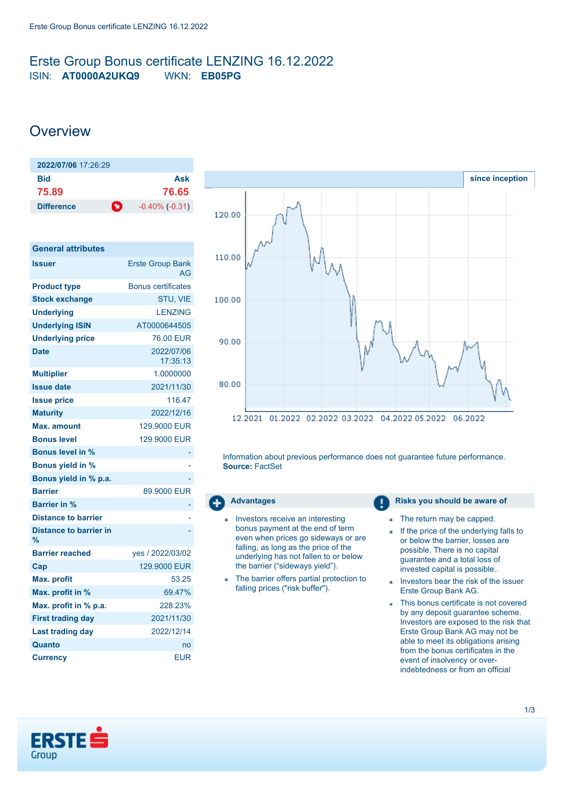## <span id="page-0-0"></span>Erste Group Bonus certificate LENZING 16.12.2022 ISIN: **AT0000A2UKQ9** WKN: **EB05PG**

# **Overview**

| 2022/07/06 17:26:29 |   |                     |
|---------------------|---|---------------------|
| Bid                 |   | Ask                 |
| 75.89               |   | 76.65               |
| <b>Difference</b>   | n | $-0.40\%$ $(-0.31)$ |

| <b>General attributes</b>          |                               |
|------------------------------------|-------------------------------|
| <b>Issuer</b>                      | <b>Erste Group Bank</b><br>AG |
| <b>Product type</b>                | <b>Bonus certificates</b>     |
| <b>Stock exchange</b>              | STU, VIE                      |
| <b>Underlying</b>                  | <b>LENZING</b>                |
| <b>Underlying ISIN</b>             | AT0000644505                  |
| <b>Underlying price</b>            | 76.00 EUR                     |
| <b>Date</b>                        | 2022/07/06<br>17:35:13        |
| <b>Multiplier</b>                  | 1.0000000                     |
| <b>Issue date</b>                  | 2021/11/30                    |
| <b>Issue price</b>                 | 116.47                        |
| <b>Maturity</b>                    | 2022/12/16                    |
| Max. amount                        | 129,9000 EUR                  |
| <b>Bonus level</b>                 | 129,9000 EUR                  |
| <b>Bonus level in %</b>            |                               |
| <b>Bonus yield in %</b>            |                               |
| Bonus yield in % p.a.              |                               |
| <b>Barrier</b>                     | 89,9000 EUR                   |
| Barrier in %                       |                               |
| <b>Distance to barrier</b>         |                               |
| <b>Distance to barrier in</b><br>% |                               |
| <b>Barrier reached</b>             | yes / 2022/03/02              |
| Cap                                | 129,9000 EUR                  |
| <b>Max. profit</b>                 | 53.25                         |
| Max. profit in %                   | 69.47%                        |
| Max. profit in % p.a.              | 228.23%                       |
| <b>First trading day</b>           | 2021/11/30                    |
| <b>Last trading day</b>            | 2022/12/14                    |
| Quanto                             | no                            |
| <b>Currency</b>                    | <b>EUR</b>                    |



Information about previous performance does not guarantee future performance. **Source:** FactSet

- Investors receive an interesting bonus payment at the end of term even when prices go sideways or are falling, as long as the price of the underlying has not fallen to or below the barrier ("sideways yield").
- The barrier offers partial protection to falling prices ("risk buffer").

**Advantages Risks you should be aware of Risks** you should be aware of

- The return may be capped.
- If the price of the underlying falls to ä or below the barrier, losses are possible. There is no capital guarantee and a total loss of invested capital is possible..
- Investors bear the risk of the issuer Erste Group Bank AG.
- This bonus certificate is not covered by any deposit guarantee scheme. Investors are exposed to the risk that Erste Group Bank AG may not be able to meet its obligations arising from the bonus certificates in the event of insolvency or overindebtedness or from an official

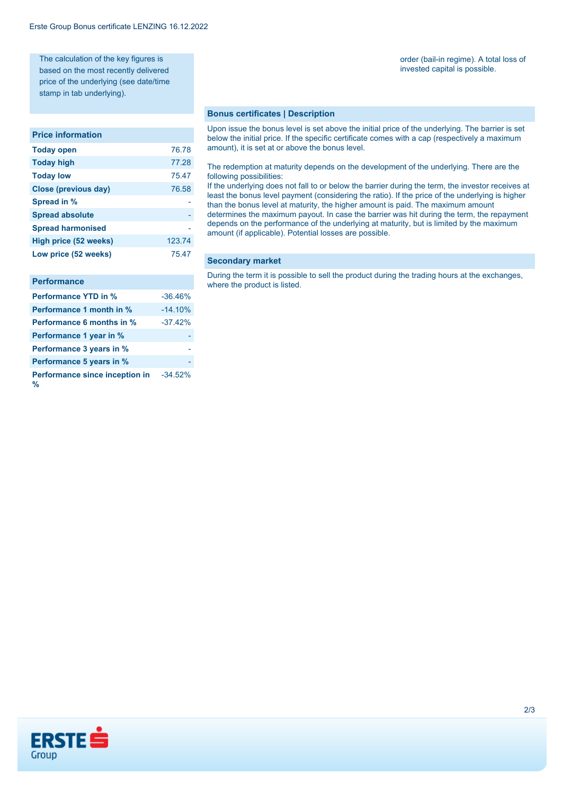The calculation of the key figures is based on the most recently delivered price of the underlying (see date/time stamp in tab underlying).

#### **Price information**

| 76.78  |
|--------|
| 77.28  |
| 75.47  |
| 76.58  |
|        |
|        |
|        |
| 123.74 |
| 75.47  |
|        |

### **Performance**

| <b>Performance YTD in %</b>         | $-36.46%$ |
|-------------------------------------|-----------|
| Performance 1 month in %            | $-14.10%$ |
| <b>Performance 6 months in %</b>    | $-37.42%$ |
| Performance 1 year in %             |           |
| Performance 3 years in %            |           |
| Performance 5 years in %            |           |
| Performance since inception in<br>% | $-34.52%$ |

order (bail-in regime). A total loss of invested capital is possible.

#### **Bonus certificates | Description**

Upon issue the bonus level is set above the initial price of the underlying. The barrier is set below the initial price. If the specific certificate comes with a cap (respectively a maximum amount), it is set at or above the bonus level.

The redemption at maturity depends on the development of the underlying. There are the following possibilities:

If the underlying does not fall to or below the barrier during the term, the investor receives at least the bonus level payment (considering the ratio). If the price of the underlying is higher than the bonus level at maturity, the higher amount is paid. The maximum amount determines the maximum payout. In case the barrier was hit during the term, the repayment depends on the performance of the underlying at maturity, but is limited by the maximum amount (if applicable). Potential losses are possible.

#### **Secondary market**

During the term it is possible to sell the product during the trading hours at the exchanges, where the product is listed.